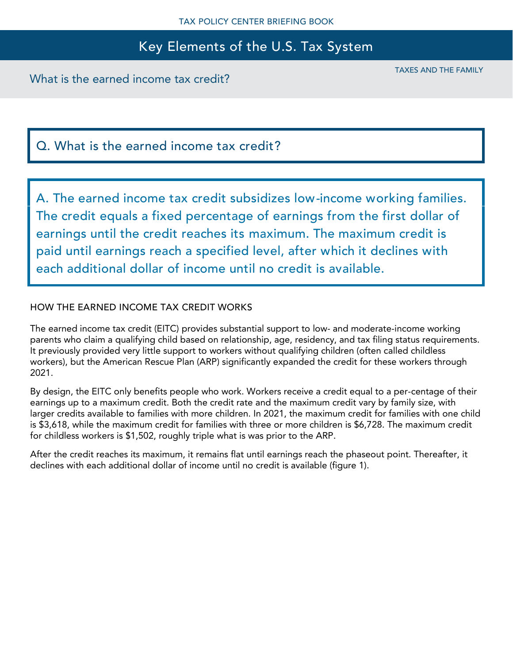What is the earned income tax credit?

TAXES AND THE FAMILY

# Q. What is the earned income tax credit?

A. The earned income tax credit subsidizes low-income working families. The credit equals a fixed percentage of earnings from the first dollar of earnings until the credit reaches its maximum. The maximum credit is paid until earnings reach a specified level, after which it declines with each additional dollar of income until no credit is available.

### HOW THE EARNED INCOME TAX CREDIT WORKS

The earned income tax credit (EITC) provides substantial support to low- and moderate-income working parents who claim a qualifying child based on relationship, age, residency, and tax filing status requirements. It previously provided very little support to workers without qualifying children (often called childless workers), but the American Rescue Plan (ARP) significantly expanded the credit for these workers through 2021.

By design, the EITC only benefits people who work. Workers receive a credit equal to a per-centage of their earnings up to a maximum credit. Both the credit rate and the maximum credit vary by family size, with larger credits available to families with more children. In 2021, the maximum credit for families with one child is \$3,618, while the maximum credit for families with three or more children is \$6,728. The maximum credit for childless workers is \$1,502, roughly triple what is was prior to the ARP.

After the credit reaches its maximum, it remains flat until earnings reach the phaseout point. Thereafter, it declines with each additional dollar of income until no credit is available (figure 1).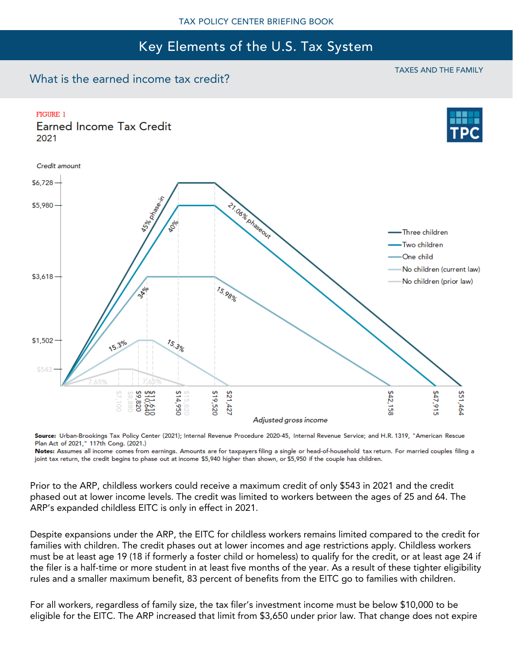### What is the earned income tax credit?

#### TAXES AND THE FAMILY



Source: Urban-Brookings Tax Policy Center (2021); Internal Revenue Procedure 2020-45, Internal Revenue Service; and H.R. 1319, "American Rescue Plan Act of 2021," 117th Cong. (2021.)

Notes: Assumes all income comes from earnings. Amounts are for taxpayers filing a single or head-of-household tax return. For married couples filing a joint tax return, the credit begins to phase out at income \$5,940 higher than shown, or \$5,950 if the couple has children.

Prior to the ARP, childless workers could receive a maximum credit of only \$543 in 2021 and the credit phased out at lower income levels. The credit was limited to workers between the ages of 25 and 64. The ARP's expanded childless EITC is only in effect in 2021.

Despite expansions under the ARP, the EITC for childless workers remains limited compared to the credit for families with children. The credit phases out at lower incomes and age restrictions apply. Childless workers must be at least age 19 (18 if formerly a foster child or homeless) to qualify for the credit, or at least age 24 if the filer is a half-time or more student in at least five months of the year. As a result of these tighter eligibility rules and a smaller maximum benefit, 83 percent of benefits from the EITC go to families with children.

For all workers, regardless of family size, the tax filer's investment income must be below \$10,000 to be eligible for the EITC. The ARP increased that limit from \$3,650 under prior law. That change does not expire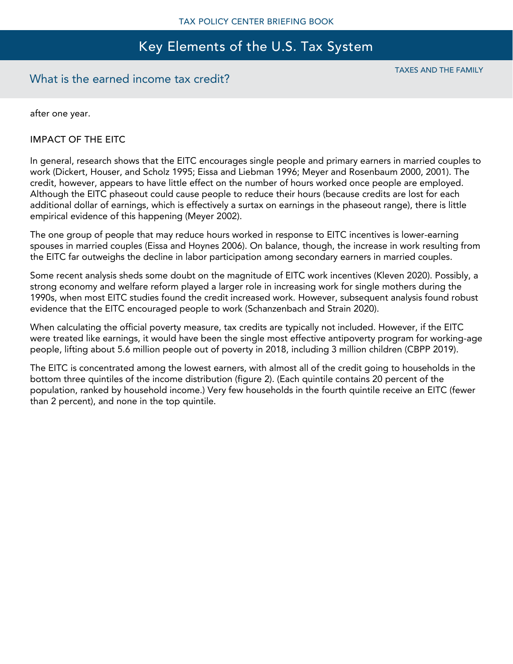### What is the earned income tax credit?

TAXES AND THE FAMILY

after one year.

### IMPACT OF THE EITC

In general, research shows that the EITC encourages single people and primary earners in married couples to work (Dickert, Houser, and Scholz 1995; Eissa and Liebman 1996; Meyer and Rosenbaum 2000, 2001). The credit, however, appears to have little effect on the number of hours worked once people are employed. Although the EITC phaseout could cause people to reduce their hours (because credits are lost for each additional dollar of earnings, which is effectively a surtax on earnings in the phaseout range), there is little empirical evidence of this happening (Meyer 2002).

The one group of people that may reduce hours worked in response to EITC incentives is lower-earning spouses in married couples (Eissa and Hoynes 2006). On balance, though, the increase in work resulting from the EITC far outweighs the decline in labor participation among secondary earners in married couples.

Some recent analysis sheds some doubt on the magnitude of EITC work incentives (Kleven 2020). Possibly, a strong economy and welfare reform played a larger role in increasing work for single mothers during the 1990s, when most EITC studies found the credit increased work. However, subsequent analysis found robust evidence that the EITC encouraged people to work (Schanzenbach and Strain 2020).

When calculating the official poverty measure, tax credits are typically not included. However, if the EITC were treated like earnings, it would have been the single most effective antipoverty program for working-age people, lifting about 5.6 million people out of poverty in 2018, including 3 million children (CBPP 2019).

The EITC is concentrated among the lowest earners, with almost all of the credit going to households in the bottom three quintiles of the income distribution (figure 2). (Each quintile contains 20 percent of the population, ranked by household income.) Very few households in the fourth quintile receive an EITC (fewer than 2 percent), and none in the top quintile.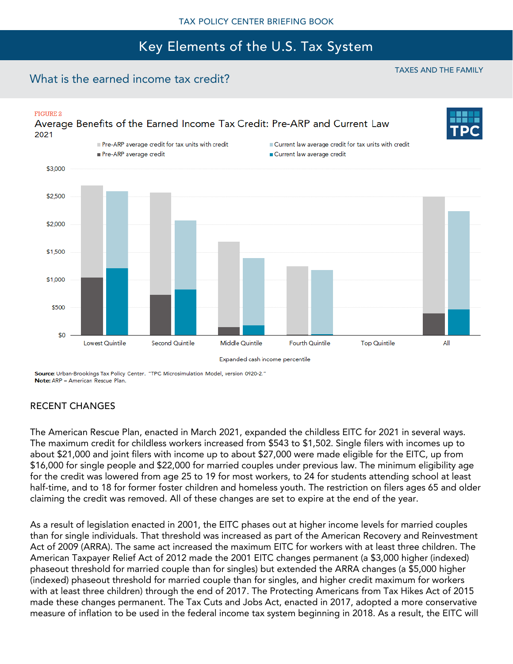## What is the earned income tax credit?

### **FIGURE 2** Average Benefits of the Earned Income Tax Credit: Pre-ARP and Current Law 2021 Pre-ARP average credit for tax units with credit Current law average credit for tax units with credit Pre-ARP average credit Current law average credit \$3,000 \$2,500 \$2,000 \$1,500 \$1,000 \$500 \$0 All Lowest Quintile Second Quintile Middle Quintile Fourth Quintile **Top Quintile**

Expanded cash income percentile

Source: Urban-Brookings Tax Policy Center. "TPC Microsimulation Model, version 0920-2." Note: ARP = American Rescue Plan.

### RECENT CHANGES

The American Rescue Plan, enacted in March 2021, expanded the childless EITC for 2021 in several ways. The maximum credit for childless workers increased from \$543 to \$1,502. Single filers with incomes up to about \$21,000 and joint filers with income up to about \$27,000 were made eligible for the EITC, up from \$16,000 for single people and \$22,000 for married couples under previous law. The minimum eligibility age for the credit was lowered from age 25 to 19 for most workers, to 24 for students attending school at least half-time, and to 18 for former foster children and homeless youth. The restriction on filers ages 65 and older claiming the credit was removed. All of these changes are set to expire at the end of the year.

As a result of legislation enacted in 2001, the EITC phases out at higher income levels for married couples than for single individuals. That threshold was increased as part of the American Recovery and Reinvestment Act of 2009 (ARRA). The same act increased the maximum EITC for workers with at least three children. The American Taxpayer Relief Act of 2012 made the 2001 EITC changes permanent (a \$3,000 higher (indexed) phaseout threshold for married couple than for singles) but extended the ARRA changes (a \$5,000 higher (indexed) phaseout threshold for married couple than for singles, and higher credit maximum for workers with at least three children) through the end of 2017. The Protecting Americans from Tax Hikes Act of 2015 made these changes permanent. The Tax Cuts and Jobs Act, enacted in 2017, adopted a more conservative measure of inflation to be used in the federal income tax system beginning in 2018. As a result, the EITC will

#### TAXES AND THE FAMILY

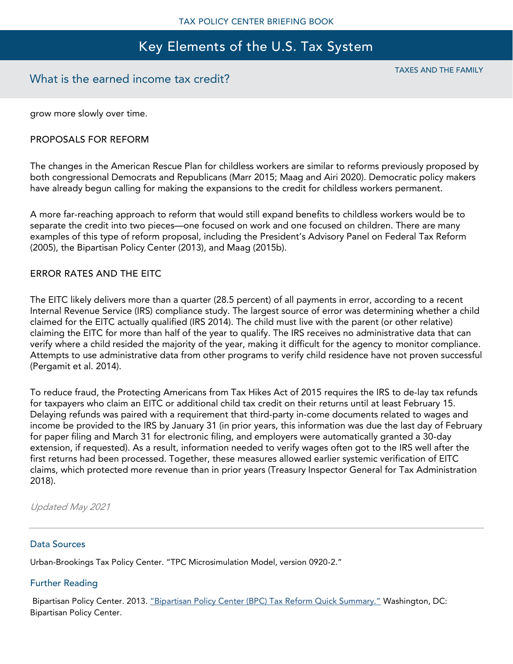### What is the earned income tax credit?

TAXES AND THE FAMILY

grow more slowly over time.

### PROPOSALS FOR REFORM

The changes in the American Rescue Plan for childless workers are similar to reforms previously proposed by both congressional Democrats and Republicans (Marr 2015; Maag and Airi 2020). Democratic policy makers have already begun calling for making the expansions to the credit for childless workers permanent.

A more far-reaching approach to reform that would still expand benefits to childless workers would be to separate the credit into two pieces—one focused on work and one focused on children. There are many examples of this type of reform proposal, including the President's Advisory Panel on Federal Tax Reform (2005), the Bipartisan Policy Center (2013), and Maag (2015b).

#### ERROR RATES AND THE EITC

The EITC likely delivers more than a quarter (28.5 percent) of all payments in error, according to a recent Internal Revenue Service (IRS) compliance study. The largest source of error was determining whether a child claimed for the EITC actually qualified (IRS 2014). The child must live with the parent (or other relative) claiming the EITC for more than half of the year to qualify. The IRS receives no administrative data that can verify where a child resided the majority of the year, making it difficult for the agency to monitor compliance. Attempts to use administrative data from other programs to verify child residence have not proven successful (Pergamit et al. 2014).

To reduce fraud, the Protecting Americans from Tax Hikes Act of 2015 requires the IRS to de-lay tax refunds for taxpayers who claim an EITC or additional child tax credit on their returns until at least February 15. Delaying refunds was paired with a requirement that third-party in-come documents related to wages and income be provided to the IRS by January 31 (in prior years, this information was due the last day of February for paper filing and March 31 for electronic filing, and employers were automatically granted a 30-day extension, if requested). As a result, information needed to verify wages often got to the IRS well after the first returns had been processed. Together, these measures allowed earlier systemic verification of EITC claims, which protected more revenue than in prior years (Treasury Inspector General for Tax Administration 2018).

Updated May 2021

#### Data Sources

Urban-Brookings Tax Policy Center. "TPC Microsimulation Model, version 0920-2."

#### Further Reading

Bipartisan Policy Center. 2013. ["Bipartisan Policy Center \(BPC\) Tax Reform Quick Summary."](http://bipartisanpolicy.org/wp-content/uploads/sites/default/files/Tax%20Reform%20Quick%20Summary_.pdf) Washington, DC: Bipartisan Policy Center.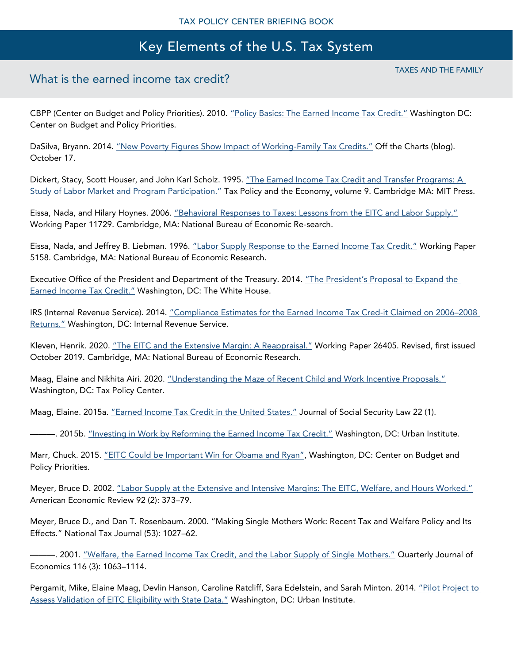## What is the earned income tax credit?

CBPP (Center on Budget and Policy Priorities). 2010. ["Policy Basics: The Earned Income Tax Credit."](http://www.cbpp.org/research/federal-tax/policy-basics-the-earned-income-tax-credit) Washington DC: Center on Budget and Policy Priorities.

DaSilva, Bryann. 2014. ["New Poverty Figures Show Impact of Working](http://www.cbpp.org/blog/new-poverty-figures-show-impact-of-working-family-tax-credits)-Family Tax Credits." Off the Charts (blog). October 17.

Dickert, Stacy, Scott Houser, and John Karl Scholz. 1995. "The Earned Income Tax Credit and Transfer Programs: A [Study of Labor Market and Program Participation."](https://www.nber.org/chapters/c10890) Tax Policy and the Economy, volume 9. Cambridge MA: MIT Press.

Eissa, Nada, and Hilary Hoynes. 2006. "Behavioral Responses [to Taxes: Lessons from the EITC and Labor Supply."](http://www.nber.org/papers/w11729.pdf) Working Paper 11729. Cambridge, MA: National Bureau of Economic Re-search.

Eissa, Nada, and Jeffrey B. Liebman. 1996. ["Labor Supply Response to the Earned Income Tax Credit."](http://www.nber.org/papers/w11729.pdf) Working Paper 5158. Cambridge, MA: National Bureau of Economic Research.

Executive Office of the President and Department of the Treasury. 2014. "The President's Proposal to Expand the [Earned Income Tax Credit."](https://obamawhitehouse.archives.gov/sites/default/files/docs/eitc_report_0.pdf) Washington, DC: The White House.

IRS (Internal Revenue Service). 2014. "Compliance Estimates f[or the Earned Income Tax Cred-it Claimed on 2006](https://www.irs.gov/pub/irs-soi/EITCComplianceStudyTY2006-2008.pdf)–2008 [Returns."](https://www.irs.gov/pub/irs-soi/EITCComplianceStudyTY2006-2008.pdf) Washington, DC: Internal Revenue Service.

Kleven, Henrik. 2020. ["The EITC and the Extensive Margin: A Reappraisal."](https://www.nber.org/papers/w26405) Working Paper 26405. Revised, first issued October 2019. Cambridge, MA: National Bureau of Economic Research.

Maag, Elaine and Nikhita Airi. 2020. ["Understanding the Maze of Recent Child and Work Incentive Proposals."](https://www.taxpolicycenter.org/publications/understanding-maze-recent-child-and-work-incentive-proposals) Washington, DC: Tax Policy Center.

Maag, Elaine. 2015a. ["Earned Income Tax Credit in the United States."](http://www.taxpolicycenter.org/UploadedPDF/2000177-earned-income-tax-credit-in-the-united-states.pdf) Journal of Social Security Law 22 (1).

-- 2015b. ["Investing in Work by Reforming the Earned Income Tax Credit."](http://webarchive.urban.org/publications/2000232.html) Washington, DC: Urban Institute.

Marr, Chuck. 2015. ["EITC Could be Important Win for Obama and Ryan"](https://www.cbpp.org/blog/eitc-could-be-important-win-for-obama-and-ryan), Washington, DC: Center on Budget and Policy Priorities.

Meyer, Bruce D. 2002. ["Labor Supply at the Extensive and Intensive Margins: The EITC, Welfare, and Hours Worked."](https://www.aeaweb.org/articles.php?doi=10.1257/000282802320191642) American Economic Review 92 (2): 373–79.

Meyer, Bruce D., and Dan T. Rosenbaum. 2000. "Making Single Mothers Work: Recent Tax and Welfare Policy and Its Effects." National Tax Journal (53): 1027–62.

———. 2001. ["Welfare, the Earned Income Tax Credit, and the Labor Supply of Single Mothers."](https://www.ssc.wisc.edu/~scholz/Teaching_742/Meyer_Rosenbaum.pdf) Quarterly Journal of Economics 116 (3): 1063–1114.

Pergamit, Mike, Elaine Maag, Devlin Hanson, Caroline Ratcliff, Sara Edelstein, and Sarah Minton. 2014. ["Pilot Project to](http://webarchive.urban.org/publications/2000244.html)  [Assess Validation of EITC Eligibility with State Data."](http://webarchive.urban.org/publications/2000244.html) Washington, DC: Urban Institute.

TAXES AND THE FAMILY